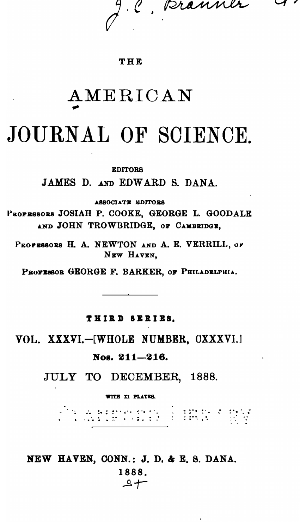C, pranner

### THE

# AMERICAN

# JOURNAL OF SCIENCE.

#### **EDITORS**

JAMES D. AND EDWARD S. DANA.

ASSOCIATE EDITORS

PROFESSORS JOSIAH P. COOKE, GEORGE L. GOODALE AND JOHN TROWBRIDGE, OF CAMBRIDGE,

PROFESSORS H. A. NEWTON AND A. E. VERRILL, OF NEW HAVEN.

PROFESSOR GEORGE F. BARKER, OF PHILADELPHIA.

### THIRD SERIES.

VOL. XXXVI.-[WHOLE NUMBER, CXXXVI.]

### Nos. 211-216.

JULY TO DECEMBER, 1888.

**VITH XI PLATES.** 

<sup>1</sup> 1 a bornesten (\* 1519)<br>1 a dat om esto 2 (\* 1550)

# NEW HAVEN, CONN.: J. D. & E. 8. DANA.

1888.  $A +$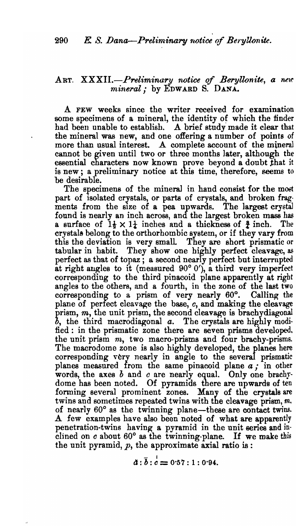## ART. *XXXII.-Preliminary 1Wtwe* of *BeryU.onite, a 1l£1l' mineral,.* by EDWARD S. DANA.

A FEW weeks since the writer received for examination some specimens of a mineral, the identity of which the tinder had been unable to establish. A brief study made it clear that the mineral was new, and one offering a number of points of more than usual interest. A complete account of the mineral cannot be given until two or three months later, although the essential characters now known prove beyond a doubt that it is new; a preliminary notice at this time, therefore, seems to be desirable.

The specimens of the mineral in hand consist for the most part of isolated crystals, or parts of crystals, and broken frag· ments from the size of a pea upwards. The largest crystal found is nearly an inch across, and the largest broken mass has a surface of  $1\frac{1}{2} \times 1\frac{1}{2}$  inches and a thickness of  $\frac{3}{2}$  inch. The crysta18 belong to the orthorhombic system, or if they vary from this the deviation is very small They are short prismatic or tabular in habit. They show one highly perfect cleavage, as perfect as that of topaz; a second nearly perfect but interrupted at right angles to it (measured  $90^{\circ}$  0'), a third very imperfect corresponding to the third pinacoid plane apparently at right angles to the others, and a fourth, in the zone of the last two corresponding to a prism of very nearly 60°. Calling' the plane of perfect cleavage the base, *c,* and making the cleavage prism,  $m$ , the unit prism, the second cleavage is brachydiagonal *b,* the third macrodiagonal *a.* The crystals are highly modified: in the prismatic zone there are seven prisms developed. the unit prism *m,* two macro-prisms and four brachy-prisms. The macrodome zone is also highly developed, the planes here corresponding very nearly in angle to the several prismatic planes measured from the same pinacoid plane  $a$ , in other words, the axes  $b$  and  $c$  are nearly equal. Only one brachydome has been noted. Of pyramids there are upwards of ten forming several prominent zones. Many of the crystals are twins and sometimes repeated twins with the cleavage prism, *m,* of nearly 60° as the twinning plane-these are contact twins. A few examples have also been noted of what are apparently penetration-twins having a pyramid in the unit series and in· clined on *c* about 60° as the twinning-plane. If we make this the unit pyramid,  $p$ , the approximate axial ratio is :

$$
\tilde{a}:\bar{b}: \dot{c}=0.57:1:0.94.
$$